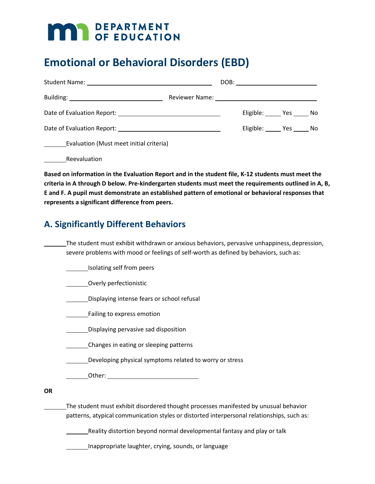# **MAR** DEPARTMENT

# **Emotional or Behavioral Disorders (EBD)**

|                                         |  | DOB: ________________________ |  |
|-----------------------------------------|--|-------------------------------|--|
|                                         |  |                               |  |
|                                         |  | Eligible: Yes No              |  |
|                                         |  | Eligible: Yes No              |  |
| Evaluation (Must meet initial criteria) |  |                               |  |

Reevaluation

**Based on information in the Evaluation Report and in the student file, K-12 students must meet the criteria in A through D below. Pre-kindergarten students must meet the requirements outlined in A, B, E and F. A pupil must demonstrate an established pattern of emotional or behavioral responses that represents a significant difference from peers.**

## **A. Significantly Different Behaviors**

The student must exhibit withdrawn or anxious behaviors, pervasive unhappiness, depression, severe problems with mood or feelings of self-worth as defined by behaviors, such as:

**ISOlating self from peers** 

Overly perfectionistic

Displaying intense fears or school refusal

Failing to express emotion

**Displaying pervasive sad disposition** 

Changes in eating or sleeping patterns

Developing physical symptoms related to worry or stress

Other:

**OR**

The student must exhibit disordered thought processes manifested by unusual behavior patterns, atypical communication styles or distorted interpersonal relationships, such as:

Reality distortion beyond normal developmental fantasy and play or talk

Inappropriate laughter, crying, sounds, or language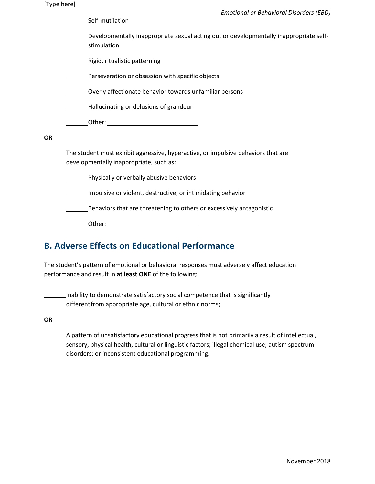| [Type here] |  |
|-------------|--|
|-------------|--|

| $[1, 9]$ pc $[1, 1]$ | <b>Emotional or Behavioral Disorders (EBD)</b>                                                                               |  |  |  |  |  |
|----------------------|------------------------------------------------------------------------------------------------------------------------------|--|--|--|--|--|
|                      | Self-mutilation                                                                                                              |  |  |  |  |  |
|                      | Developmentally inappropriate sexual acting out or developmentally inappropriate self-<br>stimulation                        |  |  |  |  |  |
|                      | Rigid, ritualistic patterning                                                                                                |  |  |  |  |  |
|                      | Perseveration or obsession with specific objects                                                                             |  |  |  |  |  |
|                      | Overly affectionate behavior towards unfamiliar persons                                                                      |  |  |  |  |  |
|                      | Hallucinating or delusions of grandeur                                                                                       |  |  |  |  |  |
|                      |                                                                                                                              |  |  |  |  |  |
| <b>OR</b>            |                                                                                                                              |  |  |  |  |  |
|                      | The student must exhibit aggressive, hyperactive, or impulsive behaviors that are<br>developmentally inappropriate, such as: |  |  |  |  |  |
|                      | Physically or verbally abusive behaviors                                                                                     |  |  |  |  |  |
|                      | Impulsive or violent, destructive, or intimidating behavior                                                                  |  |  |  |  |  |
|                      | Behaviors that are threatening to others or excessively antagonistic                                                         |  |  |  |  |  |
|                      |                                                                                                                              |  |  |  |  |  |

| ∩ther <sup>.</sup><br>. |  |  |
|-------------------------|--|--|
|                         |  |  |

## **B. Adverse Effects on Educational Performance**

The student's pattern of emotional or behavioral responses must adversely affect education performance and result in **at least ONE** of the following:

Inability to demonstrate satisfactory social competence that is significantly differentfrom appropriate age, cultural or ethnic norms;

**OR**

 A pattern of unsatisfactory educational progress that is not primarily a result of intellectual, sensory, physical health, cultural or linguistic factors; illegal chemical use; autism spectrum disorders; or inconsistent educational programming.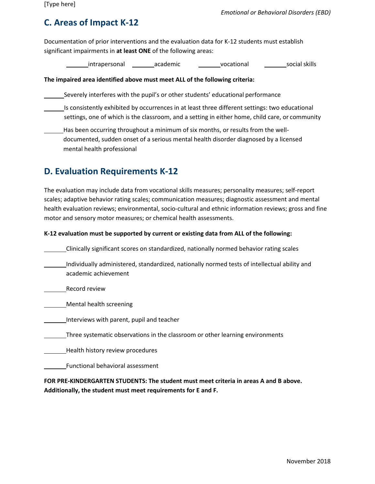## **C. Areas of Impact K-12**

Documentation of prior interventions and the evaluation data for K-12 students must establish significant impairments in **at least ONE** of the following areas:

intrapersonal academic vocational social skills

#### **The impaired area identified above must meet ALL of the following criteria:**

Severely interferes with the pupil's or other students' educational performance

- Is consistently exhibited by occurrences in at least three different settings: two educational settings, one of which is the classroom, and a setting in either home, child care, or community
- Has been occurring throughout a minimum of six months, or results from the welldocumented, sudden onset of a serious mental health disorder diagnosed by a licensed mental health professional

#### **D. Evaluation Requirements K-12**

The evaluation may include data from vocational skills measures; personality measures; self-report scales; adaptive behavior rating scales; communication measures; diagnostic assessment and mental health evaluation reviews; environmental, socio-cultural and ethnic information reviews; gross and fine motor and sensory motor measures; or chemical health assessments.

#### **K-12 evaluation must be supported by current or existing data from ALL of the following:**

Clinically significant scores on standardized, nationally normed behavior rating scales

- Individually administered, standardized, nationally normed tests of intellectual ability and academic achievement
- Record review

Mental health screening

Interviews with parent, pupil and teacher

Three systematic observations in the classroom or other learning environments

Health history review procedures

Functional behavioral assessment

**FOR PRE-KINDERGARTEN STUDENTS: The student must meet criteria in areas A and B above. Additionally, the student must meet requirements for E and F.**